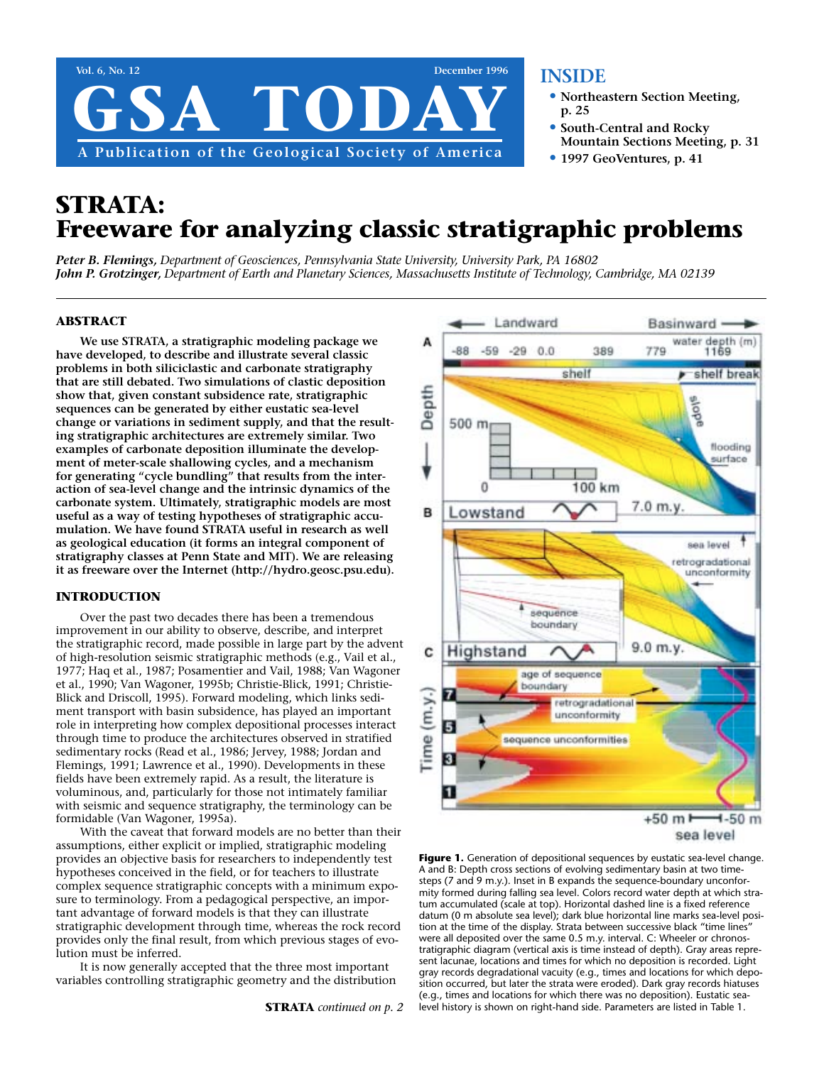

## **INSIDE**

- **• Northeastern Section Meeting, p. 25**
- **• South-Central and Rocky Mountain Sections Meeting, p. 31**
- **• 1997 GeoVentures, p. 41**

# **STRATA: Freeware for analyzing classic stratigraphic problems**

*Peter B. Flemings, Department of Geosciences, Pennsylvania State University, University Park, PA 16802 John P. Grotzinger, Department of Earth and Planetary Sciences, Massachusetts Institute of Technology, Cambridge, MA 02139*

#### **ABSTRACT**

**We use STRATA, a stratigraphic modeling package we have developed, to describe and illustrate several classic problems in both siliciclastic and carbonate stratigraphy that are still debated. Two simulations of clastic deposition show that, given constant subsidence rate, stratigraphic sequences can be generated by either eustatic sea-level change or variations in sediment supply, and that the resulting stratigraphic architectures are extremely similar. Two examples of carbonate deposition illuminate the development of meter-scale shallowing cycles, and a mechanism for generating "cycle bundling" that results from the interaction of sea-level change and the intrinsic dynamics of the carbonate system. Ultimately, stratigraphic models are most useful as a way of testing hypotheses of stratigraphic accumulation. We have found STRATA useful in research as well as geological education (it forms an integral component of stratigraphy classes at Penn State and MIT). We are releasing it as freeware over the Internet (http://hydro.geosc.psu.edu).**

#### **INTRODUCTION**

Over the past two decades there has been a tremendous improvement in our ability to observe, describe, and interpret the stratigraphic record, made possible in large part by the advent of high-resolution seismic stratigraphic methods (e.g., Vail et al., 1977; Haq et al., 1987; Posamentier and Vail, 1988; Van Wagoner et al., 1990; Van Wagoner, 1995b; Christie-Blick, 1991; Christie-Blick and Driscoll, 1995). Forward modeling, which links sediment transport with basin subsidence, has played an important role in interpreting how complex depositional processes interact through time to produce the architectures observed in stratified sedimentary rocks (Read et al., 1986; Jervey, 1988; Jordan and Flemings, 1991; Lawrence et al., 1990). Developments in these fields have been extremely rapid. As a result, the literature is voluminous, and, particularly for those not intimately familiar with seismic and sequence stratigraphy, the terminology can be formidable (Van Wagoner, 1995a).

With the caveat that forward models are no better than their assumptions, either explicit or implied, stratigraphic modeling provides an objective basis for researchers to independently test hypotheses conceived in the field, or for teachers to illustrate complex sequence stratigraphic concepts with a minimum exposure to terminology. From a pedagogical perspective, an important advantage of forward models is that they can illustrate stratigraphic development through time, whereas the rock record provides only the final result, from which previous stages of evolution must be inferred.

It is now generally accepted that the three most important variables controlling stratigraphic geometry and the distribution



Figure 1. Generation of depositional sequences by eustatic sea-level change. A and B: Depth cross sections of evolving sedimentary basin at two timesteps (7 and 9 m.y.). Inset in B expands the sequence-boundary unconformity formed during falling sea level. Colors record water depth at which stratum accumulated (scale at top). Horizontal dashed line is a fixed reference datum (0 m absolute sea level); dark blue horizontal line marks sea-level position at the time of the display. Strata between successive black "time lines" were all deposited over the same 0.5 m.y. interval. C: Wheeler or chronostratigraphic diagram (vertical axis is time instead of depth). Gray areas represent lacunae, locations and times for which no deposition is recorded. Light gray records degradational vacuity (e.g., times and locations for which deposition occurred, but later the strata were eroded). Dark gray records hiatuses (e.g., times and locations for which there was no deposition). Eustatic sealevel history is shown on right-hand side. Parameters are listed in Table 1.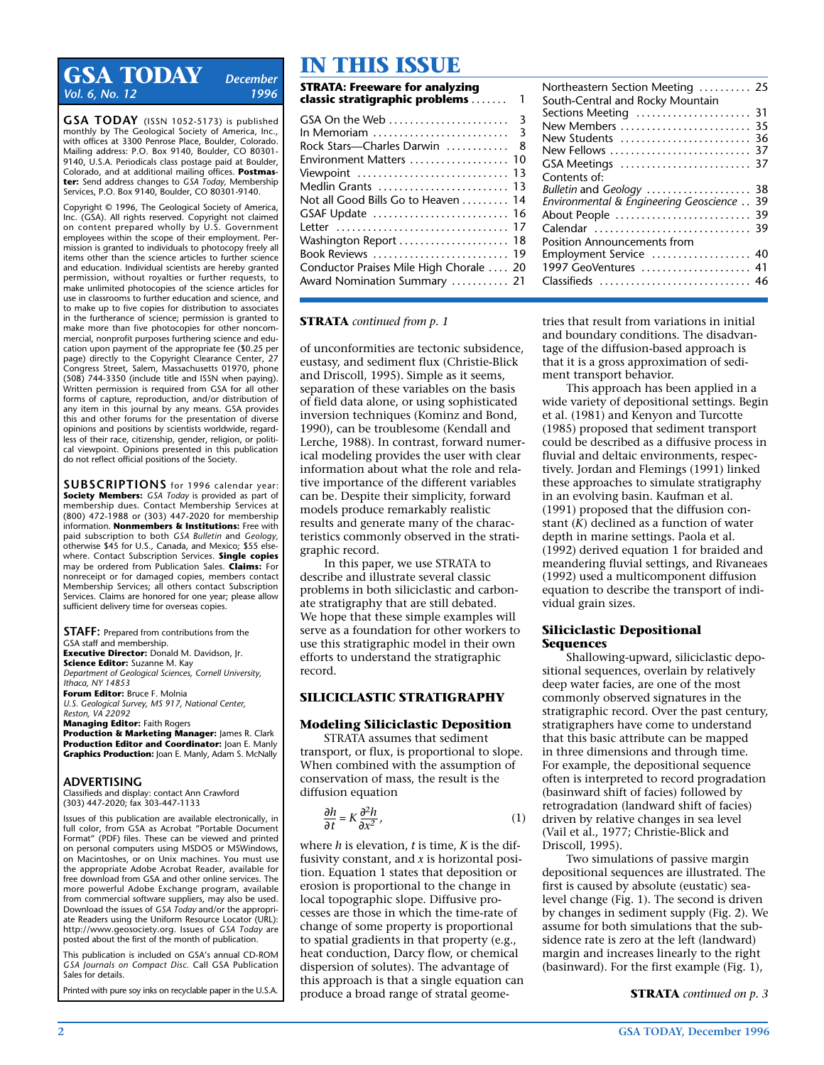## **GSA TODAY** *December Vol. 6, No. 12*

**GSA TODAY** (ISSN 1052-5173) is published monthly by The Geological Society of America, Inc., with offices at 3300 Penrose Place, Boulder, Colorado. Mailing address: P.O. Box 9140, Boulder, CO 80301- 9140, U.S.A. Periodicals class postage paid at Boulder, Colorado, and at additional mailing offices. **Postmaster:** Send address changes to *GSA Today,* Membership Services, P.O. Box 9140, Boulder, CO 80301-9140.

Copyright © 1996, The Geological Society of America, Inc. (GSA). All rights reserved. Copyright not claimed on content prepared wholly by U.S. Government employees within the scope of their employment. Permission is granted to individuals to photocopy freely all items other than the science articles to further science and education. Individual scientists are hereby granted permission, without royalties or further requests, to make unlimited photocopies of the science articles for use in classrooms to further education and science, and to make up to five copies for distribution to associates in the furtherance of science; permission is granted to make more than five photocopies for other noncommercial, nonprofit purposes furthering science and education upon payment of the appropriate fee (\$0.25 per page) directly to the Copyright Clearance Center, 27 Congress Street, Salem, Massachusetts 01970, phone (508) 744-3350 (include title and ISSN when paying). Written permission is required from GSA for all other forms of capture, reproduction, and/or distribution of any item in this journal by any means. GSA provides this and other forums for the presentation of diverse opinions and positions by scientists worldwide, regardless of their race, citizenship, gender, religion, or political viewpoint. Opinions presented in this publication do not reflect official positions of the Society.

**SUBSCRIPTIONS** for 1996 calendar year: **Society Members:** *GSA Today* is provided as part of membership dues. Contact Membership Services at (800) 472-1988 or (303) 447-2020 for membership information. **Nonmembers & Institutions:** Free with paid subscription to both *GSA Bulletin* and *Geology,* otherwise \$45 for U.S., Canada, and Mexico; \$55 elsewhere. Contact Subscription Services. **Single copies** may be ordered from Publication Sales. **Claims:** For nonreceipt or for damaged copies, members contact Membership Services; all others contact Subscription Services. Claims are honored for one year; please allow sufficient delivery time for overseas copies.

**STAFF:** Prepared from contributions from the GSA staff and membership. **Executive Director:** Donald M. Davidson, Jr. **Science Editor:** Suzanne M. Kay *Department of Geological Sciences, Cornell University, Ithaca, NY 14853* **Forum Editor:** Bruce F. Molnia *U.S. Geological Survey, MS 917, National Center, Reston, VA 22092*

**Managing Editor:** Faith Rogers **Production & Marketing Manager:** James R. Clark **Production Editor and Coordinator:** Joan E. Manly **Graphics Production:** Joan E. Manly, Adam S. McNally

#### **ADVERTISING**

Classifieds and display: contact Ann Crawford (303) 447-2020; fax 303-447-1133

Issues of this publication are available electronically, in full color, from GSA as Acrobat "Portable Document Format" (PDF) files. These can be viewed and printed on personal computers using MSDOS or MSWindows, on Macintoshes, or on Unix machines. You must use the appropriate Adobe Acrobat Reader, available for free download from GSA and other online services. The more powerful Adobe Exchange program, available from commercial software suppliers, may also be used. Download the issues of *GSA Today* and/or the appropriate Readers using the Uniform Resource Locator (URL): http://www.geosociety.org. Issues of *GSA Today* are posted about the first of the month of publication.

This publication is included on GSA's annual CD-ROM *GSA Journals on Compact Disc.* Call GSA Publication Sales for details.

Printed with pure soy inks on recyclable paper in the U.S.A.

### **STRATA: Freeware for analyzing IN THIS ISSUE**

| JIINAIA. II CEWALE TVI ANAIYZING<br>classic stratigraphic problems | 1   |
|--------------------------------------------------------------------|-----|
|                                                                    |     |
|                                                                    |     |
| Rock Stars-Charles Darwin                                          | - 8 |
| Environment Matters  10                                            |     |
| Viewpoint  13                                                      |     |
| Medlin Grants  13                                                  |     |
| Not all Good Bills Go to Heaven 14                                 |     |
| GSAF Update  16                                                    |     |
|                                                                    |     |
|                                                                    |     |
| Book Reviews  19                                                   |     |
| Conductor Praises Mile High Chorale  20                            |     |
| Award Nomination Summary  21                                       |     |
|                                                                    |     |

| Northeastern Section Meeting  25<br>South-Central and Rocky Mountain |    |
|----------------------------------------------------------------------|----|
| Sections Meeting  31                                                 |    |
| New Members                                                          | 35 |
| New Students  36                                                     |    |
| New Fellows                                                          | 37 |
|                                                                      |    |
| Contents of:                                                         |    |
| Bulletin and Geology  38                                             |    |
| Environmental & Engineering Geoscience                               | 39 |
| About People                                                         | 39 |
| Calendar  39                                                         |    |
| <b>Position Announcements from</b>                                   |    |
| Employment Service  40                                               |    |
| 1997 GeoVentures  41                                                 |    |
| Classifieds                                                          |    |

#### **STRATA** *continued from p. 1*

of unconformities are tectonic subsidence, eustasy, and sediment flux (Christie-Blick and Driscoll, 1995). Simple as it seems, separation of these variables on the basis of field data alone, or using sophisticated inversion techniques (Kominz and Bond, 1990), can be troublesome (Kendall and Lerche, 1988). In contrast, forward numerical modeling provides the user with clear information about what the role and relative importance of the different variables can be. Despite their simplicity, forward models produce remarkably realistic results and generate many of the characteristics commonly observed in the stratigraphic record.

In this paper, we use STRATA to describe and illustrate several classic problems in both siliciclastic and carbonate stratigraphy that are still debated. We hope that these simple examples will serve as a foundation for other workers to use this stratigraphic model in their own efforts to understand the stratigraphic record.

#### **SILICICLASTIC STRATIGRAPHY**

#### **Modeling Siliciclastic Deposition**

STRATA assumes that sediment transport, or flux, is proportional to slope. When combined with the assumption of conservation of mass, the result is the diffusion equation

$$
\frac{\partial h}{\partial t} = K \frac{\partial^2 h}{\partial x^2},\tag{1}
$$

where *h* is elevation, *t* is time, *K* is the diffusivity constant, and *x* is horizontal position. Equation 1 states that deposition or erosion is proportional to the change in local topographic slope. Diffusive processes are those in which the time-rate of change of some property is proportional to spatial gradients in that property (e.g., heat conduction, Darcy flow, or chemical dispersion of solutes). The advantage of this approach is that a single equation can produce a broad range of stratal geometries that result from variations in initial and boundary conditions. The disadvantage of the diffusion-based approach is that it is a gross approximation of sediment transport behavior.

This approach has been applied in a wide variety of depositional settings. Begin et al. (1981) and Kenyon and Turcotte (1985) proposed that sediment transport could be described as a diffusive process in fluvial and deltaic environments, respectively. Jordan and Flemings (1991) linked these approaches to simulate stratigraphy in an evolving basin. Kaufman et al. (1991) proposed that the diffusion constant (*K*) declined as a function of water depth in marine settings. Paola et al. (1992) derived equation 1 for braided and meandering fluvial settings, and Rivaneaes (1992) used a multicomponent diffusion equation to describe the transport of individual grain sizes.

#### **Siliciclastic Depositional Sequences**

Shallowing-upward, siliciclastic depositional sequences, overlain by relatively deep water facies, are one of the most commonly observed signatures in the stratigraphic record. Over the past century, stratigraphers have come to understand that this basic attribute can be mapped in three dimensions and through time. For example, the depositional sequence often is interpreted to record progradation (basinward shift of facies) followed by retrogradation (landward shift of facies) driven by relative changes in sea level (Vail et al., 1977; Christie-Blick and Driscoll, 1995).

Two simulations of passive margin depositional sequences are illustrated. The first is caused by absolute (eustatic) sealevel change (Fig. 1). The second is driven by changes in sediment supply (Fig. 2). We assume for both simulations that the subsidence rate is zero at the left (landward) margin and increases linearly to the right (basinward). For the first example (Fig. 1),

**STRATA** *continued on p. 3*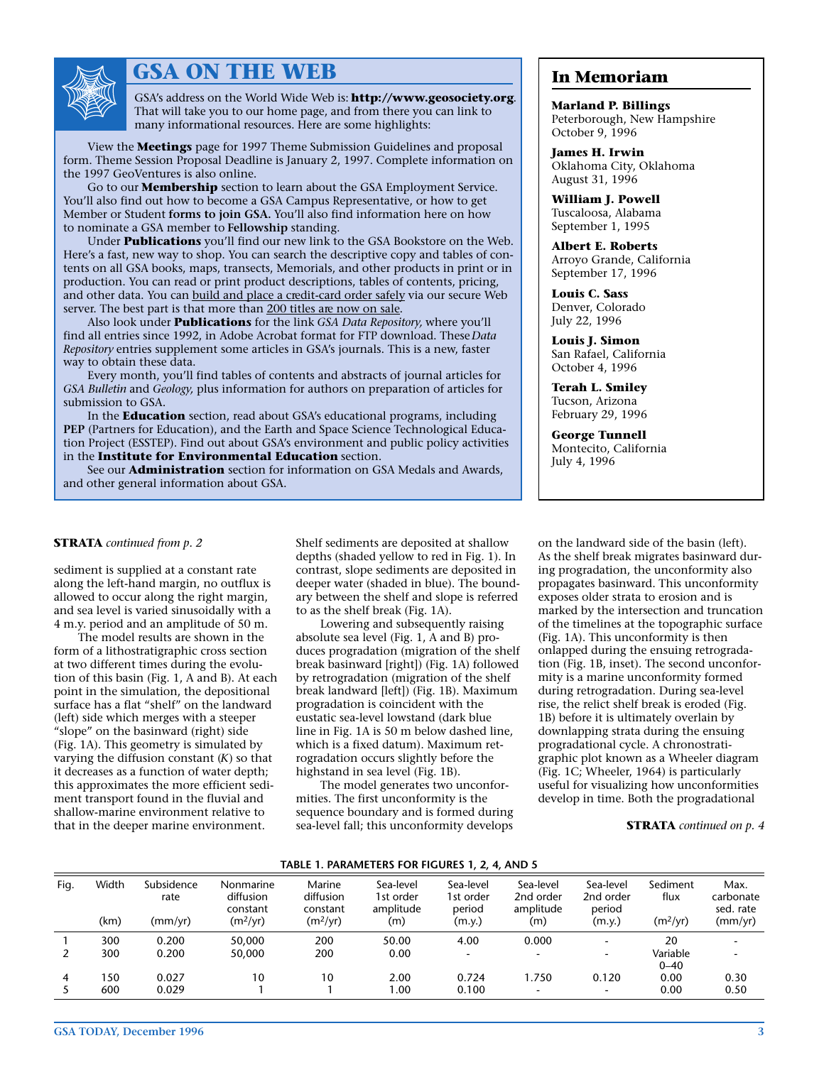

## **GSA ON THE WEB**

GSA's address on the World Wide Web is: **http://www.geosociety.org**. That will take you to our home page, and from there you can link to many informational resources. Here are some highlights:

View the **Meetings** page for 1997 Theme Submission Guidelines and proposal form. Theme Session Proposal Deadline is January 2, 1997. Complete information on the 1997 GeoVentures is also online.

Go to our **Membership** section to learn about the GSA Employment Service. You'll also find out how to become a GSA Campus Representative, or how to get Member or Student **forms to join GSA.** You'll also find information here on how to nominate a GSA member to **Fellowship** standing.

Under **Publications** you'll find our new link to the GSA Bookstore on the Web. Here's a fast, new way to shop. You can search the descriptive copy and tables of contents on all GSA books, maps, transects, Memorials, and other products in print or in production. You can read or print product descriptions, tables of contents, pricing, and other data. You can build and place a credit-card order safely via our secure Web server. The best part is that more than 200 titles are now on sale.

Also look under **Publications** for the link *GSA Data Repository,* where you'll find all entries since 1992, in Adobe Acrobat format for FTP download. These *Data Repository* entries supplement some articles in GSA's journals. This is a new, faster way to obtain these data.

Every month, you'll find tables of contents and abstracts of journal articles for *GSA Bulletin* and *Geology,* plus information for authors on preparation of articles for submission to GSA.

In the **Education** section, read about GSA's educational programs, including **PEP** (Partners for Education), and the Earth and Space Science Technological Education Project (ESSTEP). Find out about GSA's environment and public policy activities in the **Institute for Environmental Education** section.

See our **Administration** section for information on GSA Medals and Awards, and other general information about GSA.

### **In Memoriam**

**Marland P. Billings** Peterborough, New Hampshire October 9, 1996

**James H. Irwin** Oklahoma City, Oklahoma August 31, 1996

**William J. Powell** Tuscaloosa, Alabama September 1, 1995

**Albert E. Roberts** Arroyo Grande, California September 17, 1996

**Louis C. Sass** Denver, Colorado July 22, 1996

**Louis J. Simon** San Rafael, California October 4, 1996

**Terah L. Smiley** Tucson, Arizona February 29, 1996

**George Tunnell** Montecito, California July 4, 1996

#### **STRATA** *continued from p. 2*

sediment is supplied at a constant rate along the left-hand margin, no outflux is allowed to occur along the right margin, and sea level is varied sinusoidally with a 4 m.y. period and an amplitude of 50 m.

The model results are shown in the form of a lithostratigraphic cross section at two different times during the evolution of this basin (Fig. 1, A and B). At each point in the simulation, the depositional surface has a flat "shelf" on the landward (left) side which merges with a steeper "slope" on the basinward (right) side (Fig. 1A). This geometry is simulated by varying the diffusion constant (*K*) so that it decreases as a function of water depth; this approximates the more efficient sediment transport found in the fluvial and shallow-marine environment relative to that in the deeper marine environment.

Shelf sediments are deposited at shallow depths (shaded yellow to red in Fig. 1). In contrast, slope sediments are deposited in deeper water (shaded in blue). The boundary between the shelf and slope is referred to as the shelf break (Fig. 1A).

Lowering and subsequently raising absolute sea level (Fig. 1, A and B) produces progradation (migration of the shelf break basinward [right]) (Fig. 1A) followed by retrogradation (migration of the shelf break landward [left]) (Fig. 1B). Maximum progradation is coincident with the eustatic sea-level lowstand (dark blue line in Fig. 1A is 50 m below dashed line, which is a fixed datum). Maximum retrogradation occurs slightly before the highstand in sea level (Fig. 1B).

The model generates two unconformities. The first unconformity is the sequence boundary and is formed during sea-level fall; this unconformity develops

on the landward side of the basin (left). As the shelf break migrates basinward during progradation, the unconformity also propagates basinward. This unconformity exposes older strata to erosion and is marked by the intersection and truncation of the timelines at the topographic surface (Fig. 1A). This unconformity is then onlapped during the ensuing retrogradation (Fig. 1B, inset). The second unconformity is a marine unconformity formed during retrogradation. During sea-level rise, the relict shelf break is eroded (Fig. 1B) before it is ultimately overlain by downlapping strata during the ensuing progradational cycle. A chronostratigraphic plot known as a Wheeler diagram (Fig. 1C; Wheeler, 1964) is particularly useful for visualizing how unconformities develop in time. Both the progradational

#### **STRATA** *continued on p. 4*

|  | TABLE 1. PARAMETERS FOR FIGURES 1, 2, 4, AND 5 |  |  |  |
|--|------------------------------------------------|--|--|--|
|--|------------------------------------------------|--|--|--|

| Fig. | Width<br>(km) | Subsidence<br>rate<br>(mm/yr) | Nonmarine<br>diffusion<br>constant<br>(m <sup>2</sup> /yr) | Marine<br>diffusion<br>constant<br>(m <sup>2</sup> /yr) | Sea-level<br>1st order<br>amplitude<br>(m) | Sea-level<br>1st order<br>period<br>(m.y.) | Sea-level<br>2nd order<br>amplitude<br>(m) | Sea-level<br>2nd order<br>period<br>(m.y.) | Sediment<br>flux<br>(m <sup>2</sup> /yr) | Max.<br>carbonate<br>sed. rate<br>(mm/yr) |
|------|---------------|-------------------------------|------------------------------------------------------------|---------------------------------------------------------|--------------------------------------------|--------------------------------------------|--------------------------------------------|--------------------------------------------|------------------------------------------|-------------------------------------------|
|      |               |                               |                                                            |                                                         |                                            |                                            |                                            |                                            |                                          |                                           |
|      | 300           | 0.200                         | 50,000                                                     | 200                                                     | 50.00                                      | 4.00                                       | 0.000                                      | $\overline{a}$                             | 20                                       |                                           |
|      | 300           | 0.200                         | 50,000                                                     | 200                                                     | 0.00                                       | $\overline{\phantom{0}}$                   |                                            | $\overline{\phantom{a}}$                   | Variable<br>$0 - 40$                     |                                           |
| 4    | 150           | 0.027                         | 10                                                         | 10                                                      | 2.00                                       | 0.724                                      | 1.750                                      | 0.120                                      | 0.00                                     | 0.30                                      |
|      | 600           | 0.029                         |                                                            |                                                         | 1.00                                       | 0.100                                      | $\overline{\phantom{0}}$                   | $\sim$                                     | 0.00                                     | 0.50                                      |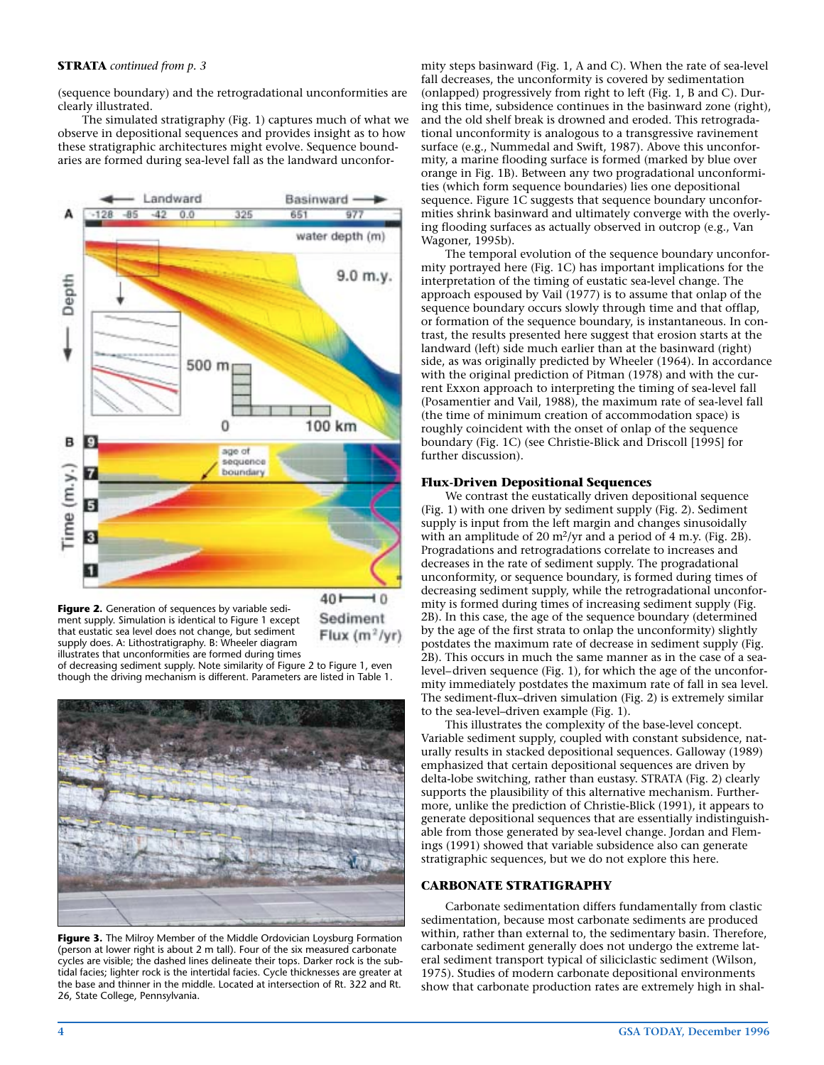#### **STRATA** *continued from p. 3*

(sequence boundary) and the retrogradational unconformities are clearly illustrated.

The simulated stratigraphy (Fig. 1) captures much of what we observe in depositional sequences and provides insight as to how these stratigraphic architectures might evolve. Sequence boundaries are formed during sea-level fall as the landward unconfor-



**Figure 2.** Generation of sequences by variable sediment supply. Simulation is identical to Figure 1 except that eustatic sea level does not change, but sediment supply does. A: Lithostratigraphy. B: Wheeler diagram illustrates that unconformities are formed during times 40<sup>F</sup>  $\overline{10}$ Sediment Flux  $(m^2/yr)$ 

of decreasing sediment supply. Note similarity of Figure 2 to Figure 1, even though the driving mechanism is different. Parameters are listed in Table 1.



**Figure 3.** The Milroy Member of the Middle Ordovician Loysburg Formation (person at lower right is about 2 m tall). Four of the six measured carbonate cycles are visible; the dashed lines delineate their tops. Darker rock is the subtidal facies; lighter rock is the intertidal facies. Cycle thicknesses are greater at the base and thinner in the middle. Located at intersection of Rt. 322 and Rt. 26, State College, Pennsylvania.

mity steps basinward (Fig. 1, A and C). When the rate of sea-level fall decreases, the unconformity is covered by sedimentation (onlapped) progressively from right to left (Fig. 1, B and C). During this time, subsidence continues in the basinward zone (right), and the old shelf break is drowned and eroded. This retrogradational unconformity is analogous to a transgressive ravinement surface (e.g., Nummedal and Swift, 1987). Above this unconformity, a marine flooding surface is formed (marked by blue over orange in Fig. 1B). Between any two progradational unconformities (which form sequence boundaries) lies one depositional sequence. Figure 1C suggests that sequence boundary unconformities shrink basinward and ultimately converge with the overlying flooding surfaces as actually observed in outcrop (e.g., Van Wagoner, 1995b).

The temporal evolution of the sequence boundary unconformity portrayed here (Fig. 1C) has important implications for the interpretation of the timing of eustatic sea-level change. The approach espoused by Vail (1977) is to assume that onlap of the sequence boundary occurs slowly through time and that offlap, or formation of the sequence boundary, is instantaneous. In contrast, the results presented here suggest that erosion starts at the landward (left) side much earlier than at the basinward (right) side, as was originally predicted by Wheeler (1964). In accordance with the original prediction of Pitman (1978) and with the current Exxon approach to interpreting the timing of sea-level fall (Posamentier and Vail, 1988), the maximum rate of sea-level fall (the time of minimum creation of accommodation space) is roughly coincident with the onset of onlap of the sequence boundary (Fig. 1C) (see Christie-Blick and Driscoll [1995] for further discussion).

#### **Flux-Driven Depositional Sequences**

We contrast the eustatically driven depositional sequence (Fig. 1) with one driven by sediment supply (Fig. 2). Sediment supply is input from the left margin and changes sinusoidally with an amplitude of 20 m2/yr and a period of 4 m.y. (Fig. 2B). Progradations and retrogradations correlate to increases and decreases in the rate of sediment supply. The progradational unconformity, or sequence boundary, is formed during times of decreasing sediment supply, while the retrogradational unconformity is formed during times of increasing sediment supply (Fig. 2B). In this case, the age of the sequence boundary (determined by the age of the first strata to onlap the unconformity) slightly postdates the maximum rate of decrease in sediment supply (Fig. 2B). This occurs in much the same manner as in the case of a sealevel–driven sequence (Fig. 1), for which the age of the unconformity immediately postdates the maximum rate of fall in sea level. The sediment-flux–driven simulation (Fig. 2) is extremely similar to the sea-level–driven example (Fig. 1).

This illustrates the complexity of the base-level concept. Variable sediment supply, coupled with constant subsidence, naturally results in stacked depositional sequences. Galloway (1989) emphasized that certain depositional sequences are driven by delta-lobe switching, rather than eustasy. STRATA (Fig. 2) clearly supports the plausibility of this alternative mechanism. Furthermore, unlike the prediction of Christie-Blick (1991), it appears to generate depositional sequences that are essentially indistinguishable from those generated by sea-level change. Jordan and Flemings (1991) showed that variable subsidence also can generate stratigraphic sequences, but we do not explore this here.

#### **CARBONATE STRATIGRAPHY**

Carbonate sedimentation differs fundamentally from clastic sedimentation, because most carbonate sediments are produced within, rather than external to, the sedimentary basin. Therefore, carbonate sediment generally does not undergo the extreme lateral sediment transport typical of siliciclastic sediment (Wilson, 1975). Studies of modern carbonate depositional environments show that carbonate production rates are extremely high in shal-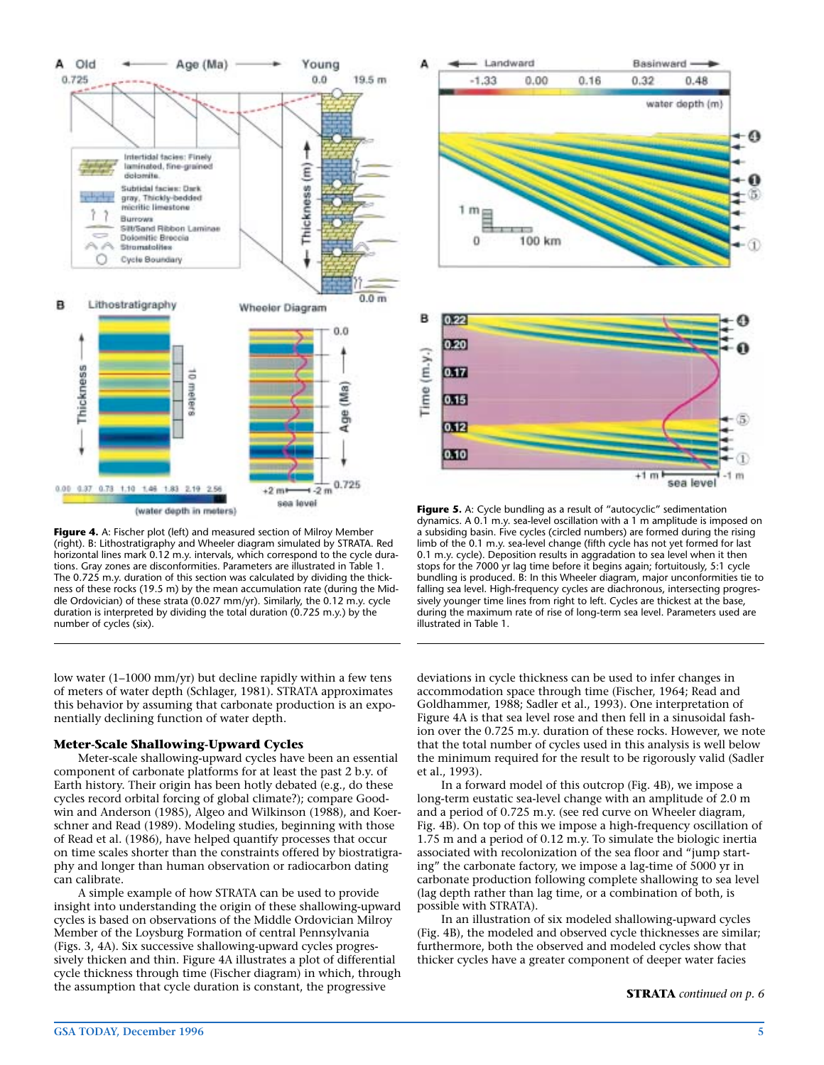

**Figure 4.** A: Fischer plot (left) and measured section of Milroy Member (right). B: Lithostratigraphy and Wheeler diagram simulated by STRATA. Red horizontal lines mark 0.12 m.y. intervals, which correspond to the cycle durations. Gray zones are disconformities. Parameters are illustrated in Table 1. The 0.725 m.y. duration of this section was calculated by dividing the thickness of these rocks (19.5 m) by the mean accumulation rate (during the Middle Ordovician) of these strata (0.027 mm/yr). Similarly, the 0.12 m.y. cycle duration is interpreted by dividing the total duration (0.725 m.y.) by the number of cycles (six).

low water (1–1000 mm/yr) but decline rapidly within a few tens of meters of water depth (Schlager, 1981). STRATA approximates this behavior by assuming that carbonate production is an exponentially declining function of water depth.

#### **Meter-Scale Shallowing-Upward Cycles**

Meter-scale shallowing-upward cycles have been an essential component of carbonate platforms for at least the past 2 b.y. of Earth history. Their origin has been hotly debated (e.g., do these cycles record orbital forcing of global climate?); compare Goodwin and Anderson (1985), Algeo and Wilkinson (1988), and Koerschner and Read (1989). Modeling studies, beginning with those of Read et al. (1986), have helped quantify processes that occur on time scales shorter than the constraints offered by biostratigraphy and longer than human observation or radiocarbon dating can calibrate.

A simple example of how STRATA can be used to provide insight into understanding the origin of these shallowing-upward cycles is based on observations of the Middle Ordovician Milroy Member of the Loysburg Formation of central Pennsylvania (Figs. 3, 4A). Six successive shallowing-upward cycles progressively thicken and thin. Figure 4A illustrates a plot of differential cycle thickness through time (Fischer diagram) in which, through the assumption that cycle duration is constant, the progressive



**Figure 5.** A: Cycle bundling as a result of "autocyclic" sedimentation dynamics. A 0.1 m.y. sea-level oscillation with a 1 m amplitude is imposed on a subsiding basin. Five cycles (circled numbers) are formed during the rising limb of the 0.1 m.y. sea-level change (fifth cycle has not yet formed for last 0.1 m.y. cycle). Deposition results in aggradation to sea level when it then stops for the 7000 yr lag time before it begins again; fortuitously, 5:1 cycle bundling is produced. B: In this Wheeler diagram, major unconformities tie to falling sea level. High-frequency cycles are diachronous, intersecting progressively younger time lines from right to left. Cycles are thickest at the base, during the maximum rate of rise of long-term sea level. Parameters used are illustrated in Table 1.

deviations in cycle thickness can be used to infer changes in accommodation space through time (Fischer, 1964; Read and Goldhammer, 1988; Sadler et al., 1993). One interpretation of Figure 4A is that sea level rose and then fell in a sinusoidal fashion over the 0.725 m.y. duration of these rocks. However, we note that the total number of cycles used in this analysis is well below the minimum required for the result to be rigorously valid (Sadler et al., 1993).

In a forward model of this outcrop (Fig. 4B), we impose a long-term eustatic sea-level change with an amplitude of 2.0 m and a period of 0.725 m.y. (see red curve on Wheeler diagram, Fig. 4B). On top of this we impose a high-frequency oscillation of 1.75 m and a period of 0.12 m.y. To simulate the biologic inertia associated with recolonization of the sea floor and "jump starting" the carbonate factory, we impose a lag-time of 5000 yr in carbonate production following complete shallowing to sea level (lag depth rather than lag time, or a combination of both, is possible with STRATA).

In an illustration of six modeled shallowing-upward cycles (Fig. 4B), the modeled and observed cycle thicknesses are similar; furthermore, both the observed and modeled cycles show that thicker cycles have a greater component of deeper water facies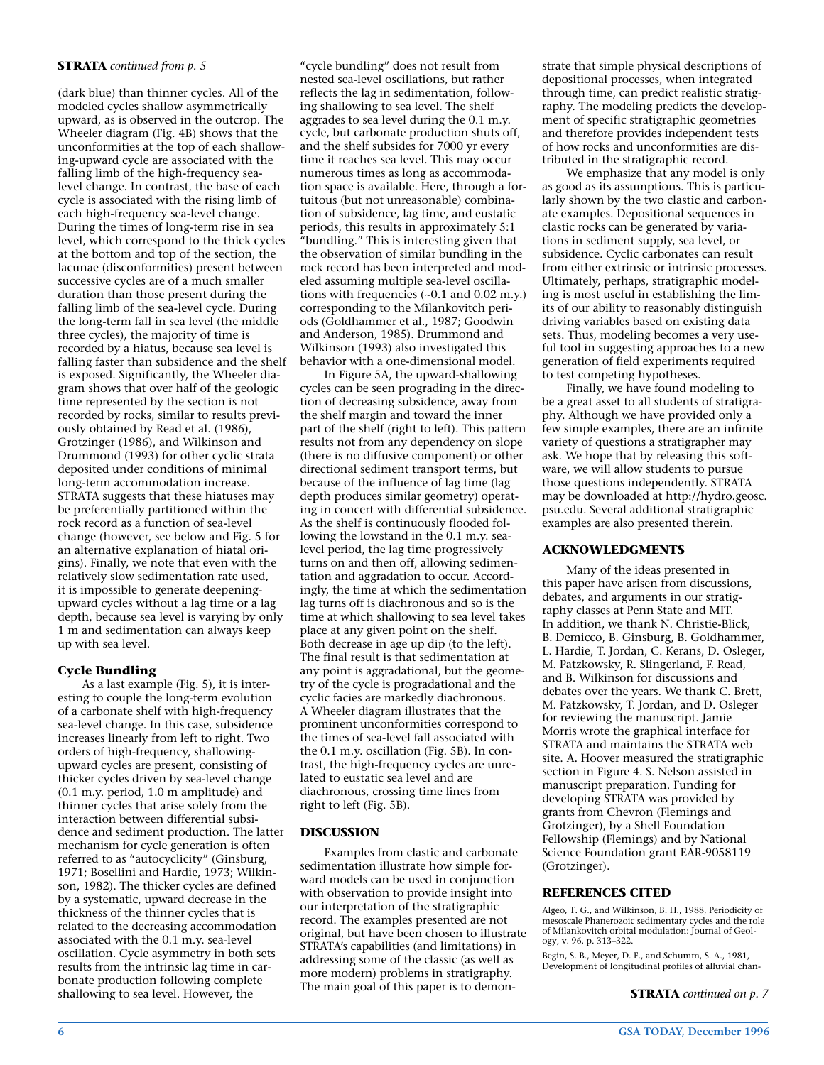#### **STRATA** *continued from p. 5*

(dark blue) than thinner cycles. All of the modeled cycles shallow asymmetrically upward, as is observed in the outcrop. The Wheeler diagram (Fig. 4B) shows that the unconformities at the top of each shallowing-upward cycle are associated with the falling limb of the high-frequency sealevel change. In contrast, the base of each cycle is associated with the rising limb of each high-frequency sea-level change. During the times of long-term rise in sea level, which correspond to the thick cycles at the bottom and top of the section, the lacunae (disconformities) present between successive cycles are of a much smaller duration than those present during the falling limb of the sea-level cycle. During the long-term fall in sea level (the middle three cycles), the majority of time is recorded by a hiatus, because sea level is falling faster than subsidence and the shelf is exposed. Significantly, the Wheeler diagram shows that over half of the geologic time represented by the section is not recorded by rocks, similar to results previously obtained by Read et al. (1986), Grotzinger (1986), and Wilkinson and Drummond (1993) for other cyclic strata deposited under conditions of minimal long-term accommodation increase. STRATA suggests that these hiatuses may be preferentially partitioned within the rock record as a function of sea-level change (however, see below and Fig. 5 for an alternative explanation of hiatal origins). Finally, we note that even with the relatively slow sedimentation rate used, it is impossible to generate deepeningupward cycles without a lag time or a lag depth, because sea level is varying by only 1 m and sedimentation can always keep up with sea level.

#### **Cycle Bundling**

As a last example (Fig. 5), it is interesting to couple the long-term evolution of a carbonate shelf with high-frequency sea-level change. In this case, subsidence increases linearly from left to right. Two orders of high-frequency, shallowingupward cycles are present, consisting of thicker cycles driven by sea-level change (0.1 m.y. period, 1.0 m amplitude) and thinner cycles that arise solely from the interaction between differential subsidence and sediment production. The latter mechanism for cycle generation is often referred to as "autocyclicity" (Ginsburg, 1971; Bosellini and Hardie, 1973; Wilkinson, 1982). The thicker cycles are defined by a systematic, upward decrease in the thickness of the thinner cycles that is related to the decreasing accommodation associated with the 0.1 m.y. sea-level oscillation. Cycle asymmetry in both sets results from the intrinsic lag time in carbonate production following complete shallowing to sea level. However, the

"cycle bundling" does not result from nested sea-level oscillations, but rather reflects the lag in sedimentation, following shallowing to sea level. The shelf aggrades to sea level during the 0.1 m.y. cycle, but carbonate production shuts off, and the shelf subsides for 7000 yr every time it reaches sea level. This may occur numerous times as long as accommodation space is available. Here, through a fortuitous (but not unreasonable) combination of subsidence, lag time, and eustatic periods, this results in approximately 5:1 "bundling." This is interesting given that the observation of similar bundling in the rock record has been interpreted and modeled assuming multiple sea-level oscillations with frequencies (~0.1 and 0.02 m.y.) corresponding to the Milankovitch periods (Goldhammer et al., 1987; Goodwin and Anderson, 1985). Drummond and Wilkinson (1993) also investigated this behavior with a one-dimensional model.

In Figure 5A, the upward-shallowing cycles can be seen prograding in the direction of decreasing subsidence, away from the shelf margin and toward the inner part of the shelf (right to left). This pattern results not from any dependency on slope (there is no diffusive component) or other directional sediment transport terms, but because of the influence of lag time (lag depth produces similar geometry) operating in concert with differential subsidence. As the shelf is continuously flooded following the lowstand in the 0.1 m.y. sealevel period, the lag time progressively turns on and then off, allowing sedimentation and aggradation to occur. Accordingly, the time at which the sedimentation lag turns off is diachronous and so is the time at which shallowing to sea level takes place at any given point on the shelf. Both decrease in age up dip (to the left). The final result is that sedimentation at any point is aggradational, but the geometry of the cycle is progradational and the cyclic facies are markedly diachronous. A Wheeler diagram illustrates that the prominent unconformities correspond to the times of sea-level fall associated with the 0.1 m.y. oscillation (Fig. 5B). In contrast, the high-frequency cycles are unrelated to eustatic sea level and are diachronous, crossing time lines from right to left (Fig. 5B).

#### **DISCUSSION**

Examples from clastic and carbonate sedimentation illustrate how simple forward models can be used in conjunction with observation to provide insight into our interpretation of the stratigraphic record. The examples presented are not original, but have been chosen to illustrate STRATA's capabilities (and limitations) in addressing some of the classic (as well as more modern) problems in stratigraphy. The main goal of this paper is to demonstrate that simple physical descriptions of depositional processes, when integrated through time, can predict realistic stratigraphy. The modeling predicts the development of specific stratigraphic geometries and therefore provides independent tests of how rocks and unconformities are distributed in the stratigraphic record.

We emphasize that any model is only as good as its assumptions. This is particularly shown by the two clastic and carbonate examples. Depositional sequences in clastic rocks can be generated by variations in sediment supply, sea level, or subsidence. Cyclic carbonates can result from either extrinsic or intrinsic processes. Ultimately, perhaps, stratigraphic modeling is most useful in establishing the limits of our ability to reasonably distinguish driving variables based on existing data sets. Thus, modeling becomes a very useful tool in suggesting approaches to a new generation of field experiments required to test competing hypotheses.

Finally, we have found modeling to be a great asset to all students of stratigraphy. Although we have provided only a few simple examples, there are an infinite variety of questions a stratigrapher may ask. We hope that by releasing this software, we will allow students to pursue those questions independently. STRATA may be downloaded at http://hydro.geosc. psu.edu. Several additional stratigraphic examples are also presented therein.

#### **ACKNOWLEDGMENTS**

Many of the ideas presented in this paper have arisen from discussions, debates, and arguments in our stratigraphy classes at Penn State and MIT. In addition, we thank N. Christie-Blick, B. Demicco, B. Ginsburg, B. Goldhammer, L. Hardie, T. Jordan, C. Kerans, D. Osleger, M. Patzkowsky, R. Slingerland, F. Read, and B. Wilkinson for discussions and debates over the years. We thank C. Brett, M. Patzkowsky, T. Jordan, and D. Osleger for reviewing the manuscript. Jamie Morris wrote the graphical interface for STRATA and maintains the STRATA web site. A. Hoover measured the stratigraphic section in Figure 4. S. Nelson assisted in manuscript preparation. Funding for developing STRATA was provided by grants from Chevron (Flemings and Grotzinger), by a Shell Foundation Fellowship (Flemings) and by National Science Foundation grant EAR-9058119 (Grotzinger).

#### **REFERENCES CITED**

Algeo, T. G., and Wilkinson, B. H., 1988, Periodicity of mesoscale Phanerozoic sedimentary cycles and the role of Milankovitch orbital modulation: Journal of Geology, v. 96, p. 313–322.

Begin, S. B., Meyer, D. F., and Schumm, S. A., 1981, Development of longitudinal profiles of alluvial chan-

**STRATA** *continued on p. 7*